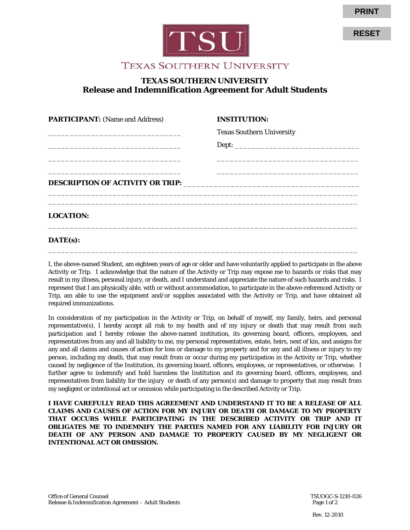

# **PRINT**

**RESET**

## **TEXAS SOUTHERN UNIVERSITY**

### **TEXAS SOUTHERN UNIVERSITY Release and Indemnification Agreement for Adult Students**

| <b>PARTICIPANT:</b> (Name and Address)                                                                                | <b>INSTITUTION:</b>                                                                                                  |  |
|-----------------------------------------------------------------------------------------------------------------------|----------------------------------------------------------------------------------------------------------------------|--|
| <u> 1989 - Johann Stoff, deutscher Stoff, der Stoff, der Stoff, der Stoff, der Stoff, der Stoff, der Stoff, der S</u> | <b>Texas Southern University</b>                                                                                     |  |
|                                                                                                                       |                                                                                                                      |  |
|                                                                                                                       |                                                                                                                      |  |
| <u> 1999 - Jan James James James James James James James James James James James James James James James James J</u>  | <u> 1980 - Jan James James James James James James James James James James James James James James James James J</u> |  |
|                                                                                                                       |                                                                                                                      |  |
| <b>LOCATION:</b>                                                                                                      |                                                                                                                      |  |

#### **DATE(s):**

I, the above-named Student, am eighteen years of age or older and have voluntarily applied to participate in the above Activity or Trip. I acknowledge that the nature of the Activity or Trip may expose me to hazards or risks that may result in my illness, personal injury, or death, and I understand and appreciate the nature of such hazards and risks. I represent that I am physically able, with or without accommodation, to participate in the above-referenced Activity or Trip, am able to use the equipment and/or supplies associated with the Activity or Trip, and have obtained all required immunizations.

\_\_\_\_\_\_\_\_\_\_\_\_\_\_\_\_\_\_\_\_\_\_\_\_\_\_\_\_\_\_\_\_\_\_\_\_\_\_\_\_\_\_\_\_\_\_\_\_\_\_\_\_\_\_\_\_\_\_\_\_\_\_\_\_\_\_\_\_\_\_\_\_

In consideration of my participation in the Activity or Trip, on behalf of myself, my family, heirs, and personal representative(s), I hereby accept all risk to my health and of my injury or death that may result from such participation and I hereby release the above-named institution, its governing board, officers, employees, and representatives from any and all liability to me, my personal representatives, estate, heirs, next of kin, and assigns for any and all claims and causes of action for loss or damage to my property and for any and all illness or injury to my person, including my death, that may result from or occur during my participation in the Activity or Trip, whether caused by negligence of the Institution, its governing board, officers, employees, or representatives, or otherwise. I further agree to indemnify and hold harmless the Institution and its governing board, officers, employees, and representatives from liability for the injury or death of any person(s) and damage to property that may result from my negligent or intentional act or omission while participating in the described Activity or Trip.

**I HAVE CAREFULLY READ THIS AGREEMENT AND UNDERSTAND IT TO BE A RELEASE OF ALL CLAIMS AND CAUSES OF ACTION FOR MY INJURY OR DEATH OR DAMAGE TO MY PROPERTY THAT OCCURS WHILE PARTICIPATING IN THE DESCRIBED ACTIVITY OR TRIP AND IT OBLIGATES ME TO INDEMNIFY THE PARTIES NAMED FOR ANY LIABILITY FOR INJURY OR DEATH OF ANY PERSON AND DAMAGE TO PROPERTY CAUSED BY MY NEGLIGENT OR INTENTIONAL ACT OR OMISSION.**